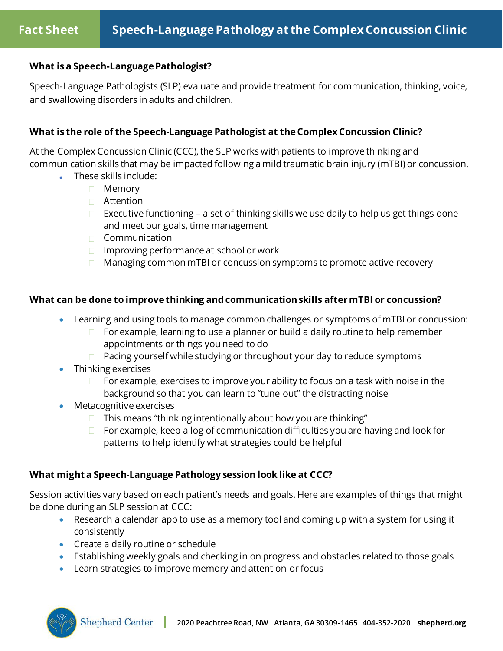## **What is a Speech-Language Pathologist?**

Speech-Language Pathologists (SLP) evaluate and provide treatment for communication, thinking, voice, and swallowing disorders in adults and children.

## **What is the role of the Speech-Language Pathologist at the Complex Concussion Clinic?**

At the Complex Concussion Clinic (CCC), the SLP works with patients to improve thinking and communication skills that may be impacted following a mild traumatic brain injury (mTBI) or concussion.

- These skills include:
	- □ Memory
	- □ Attention
	- Executive functioning a set of thinking skills we use daily to help us get things done and meet our goals, time management
	- $\Box$  Communication
	- $\Box$  Improving performance at school or work
	- $\Box$  Managing common mTBI or concussion symptoms to promote active recovery

## **What can be done to improve thinking and communication skills after mTBI or concussion?**

- Learning and using tools to manage common challenges or symptoms of mTBI or concussion:
	- $\Box$  For example, learning to use a planner or build a daily routine to help remember appointments or things you need to do
	- $\Box$  Pacing yourself while studying or throughout your day to reduce symptoms
- Thinking exercises
	- $\Box$  For example, exercises to improve your ability to focus on a task with noise in the background so that you can learn to "tune out" the distracting noise
- Metacognitive exercises
	- $\Box$  This means "thinking intentionally about how you are thinking"
	- $\Box$  For example, keep a log of communication difficulties you are having and look for patterns to help identify what strategies could be helpful

## **What might a Speech-Language Pathology session look like at CCC?**

Session activities vary based on each patient's needs and goals. Here are examples of things that might be done during an SLP session at CCC:

- Research a calendar app to use as a memory tool and coming up with a system for using it consistently
- Create a daily routine or schedule
- Establishing weekly goals and checking in on progress and obstacles related to those goals
- Learn strategies to improve memory and attention or focus